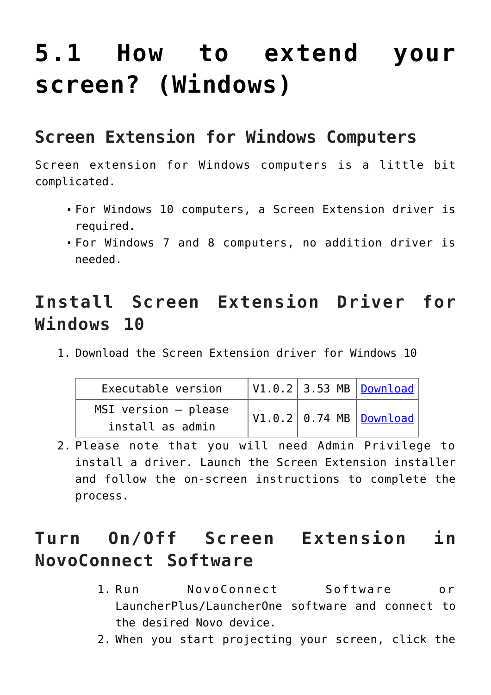# **[5.1 How to extend your](https://support.launchnovo.com/kb/how-to-extend-your-screen-windows/) [screen? \(Windows\)](https://support.launchnovo.com/kb/how-to-extend-your-screen-windows/)**

#### **Screen Extension for Windows Computers**

Screen extension for Windows computers is a little bit complicated.

- For Windows 10 computers, a Screen Extension driver is required.
- For Windows 7 and 8 computers, no addition driver is needed.

# **Install Screen Extension Driver for Windows 10**

1. Download the Screen Extension driver for Windows 10

| Executable version                           |  | $\vert$ V1.0.2 $\vert$ 3.53 MB $\vert$ <u>Download</u> $\vert$ |
|----------------------------------------------|--|----------------------------------------------------------------|
| $MSI$ version $-$ please<br>install as admin |  | $\vert$ V1.0.2 $\vert$ 0.74 MB $\vert$ <u>Download</u> $\vert$ |

2. Please note that you will need Admin Privilege to install a driver. Launch the Screen Extension installer and follow the on-screen instructions to complete the process.

### **Turn On/Off Screen Extension in NovoConnect Software**

- 1. Run NovoConnect Software or LauncherPlus/LauncherOne software and connect to the desired Novo device.
- 2. When you start projecting your screen, click the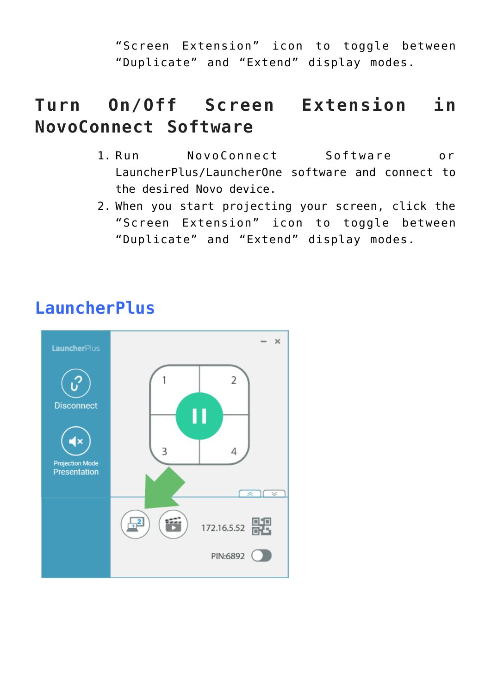"Screen Extension" icon to toggle between "Duplicate" and "Extend" display modes.

# **Turn On/Off Screen Extension in NovoConnect Software**

- 1. Run NovoConnect Software or LauncherPlus/LauncherOne software and connect to the desired Novo device.
- 2. When you start projecting your screen, click the "Screen Extension" icon to toggle between "Duplicate" and "Extend" display modes.



#### **LauncherPlus**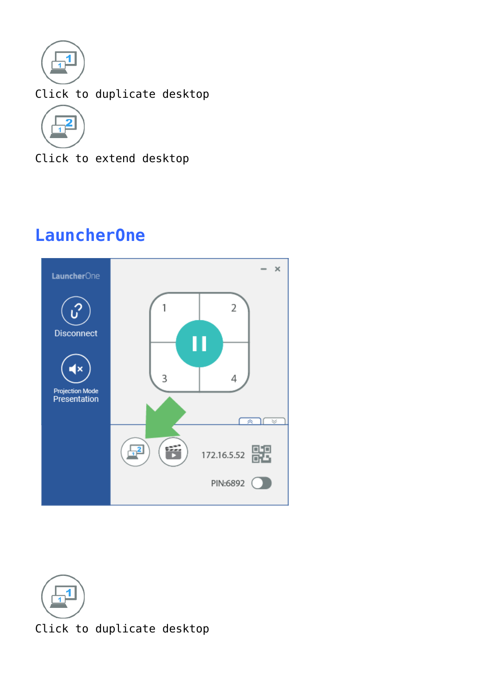

Click to duplicate desktop



Click to extend desktop

# **LauncherOne**



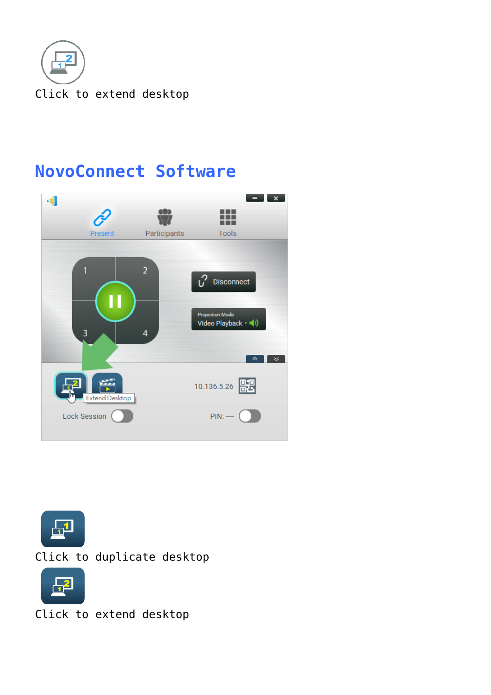

### **NovoConnect Software**





Click to duplicate desktop



Click to extend desktop